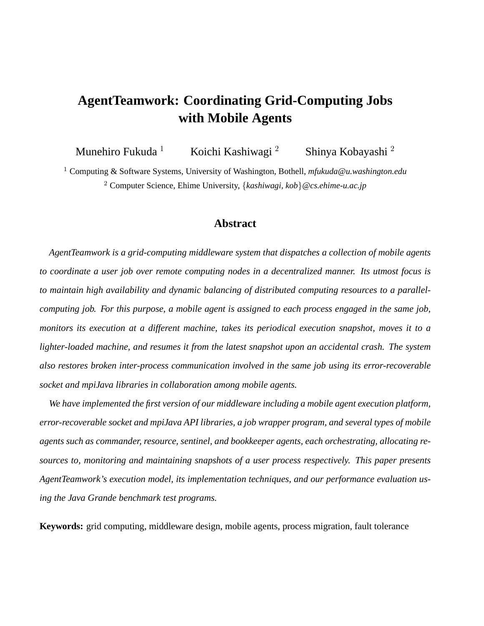# **AgentTeamwork: Coordinating Grid-Computing Jobs with Mobile Agents**

Munehiro Fukuda <sup>1</sup> Koichi Kashiwagi <sup>2</sup> Shinya Kobayashi <sup>2</sup>

<sup>1</sup> Computing & Software Systems, University of Washington, Bothell, *mfukuda@u.washington.edu* <sup>2</sup> Computer Science, Ehime University, {*kashiwagi, kob*}*@cs.ehime-u.ac.jp*

# **Abstract**

*AgentTeamwork is a grid-computing middleware system that dispatches a collection of mobile agents to coordinate a user job over remote computing nodes in a decentralized manner. Its utmost focus is to maintain high availability and dynamic balancing of distributed computing resources to a parallelcomputing job. For this purpose, a mobile agent is assigned to each process engaged in the same job, monitors its execution at a different machine, takes its periodical execution snapshot, moves it to a lighter-loaded machine, and resumes it from the latest snapshot upon an accidental crash. The system also restores broken inter-process communication involved in the same job using its error-recoverable socket and mpiJava libraries in collaboration among mobile agents.*

*We have implemented the first version of our middleware including a mobile agent execution platform, error-recoverable socket and mpiJava API libraries, a job wrapper program, and several types of mobile agents such as commander, resource, sentinel, and bookkeeper agents, each orchestrating, allocating resources to, monitoring and maintaining snapshots of a user process respectively. This paper presents AgentTeamwork's execution model, its implementation techniques, and our performance evaluation using the Java Grande benchmark test programs.*

**Keywords:** grid computing, middleware design, mobile agents, process migration, fault tolerance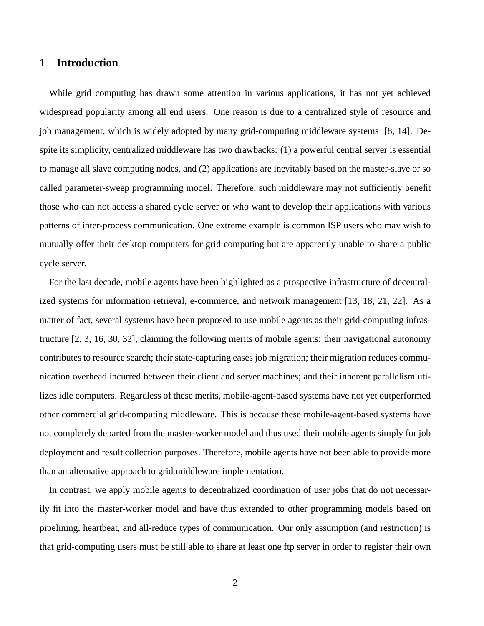# **1 Introduction**

While grid computing has drawn some attention in various applications, it has not yet achieved widespread popularity among all end users. One reason is due to a centralized style of resource and job management, which is widely adopted by many grid-computing middleware systems [8, 14]. Despite its simplicity, centralized middleware has two drawbacks: (1) a powerful central server is essential to manage all slave computing nodes, and (2) applications are inevitably based on the master-slave or so called parameter-sweep programming model. Therefore, such middleware may not sufficiently benefit those who can not access a shared cycle server or who want to develop their applications with various patterns of inter-process communication. One extreme example is common ISP users who may wish to mutually offer their desktop computers for grid computing but are apparently unable to share a public cycle server.

For the last decade, mobile agents have been highlighted as a prospective infrastructure of decentralized systems for information retrieval, e-commerce, and network management [13, 18, 21, 22]. As a matter of fact, several systems have been proposed to use mobile agents as their grid-computing infrastructure [2, 3, 16, 30, 32], claiming the following merits of mobile agents: their navigational autonomy contributes to resource search; their state-capturing eases job migration; their migration reduces communication overhead incurred between their client and server machines; and their inherent parallelism utilizes idle computers. Regardless of these merits, mobile-agent-based systems have not yet outperformed other commercial grid-computing middleware. This is because these mobile-agent-based systems have not completely departed from the master-worker model and thus used their mobile agents simply for job deployment and result collection purposes. Therefore, mobile agents have not been able to provide more than an alternative approach to grid middleware implementation.

In contrast, we apply mobile agents to decentralized coordination of user jobs that do not necessarily fit into the master-worker model and have thus extended to other programming models based on pipelining, heartbeat, and all-reduce types of communication. Our only assumption (and restriction) is that grid-computing users must be still able to share at least one ftp server in order to register their own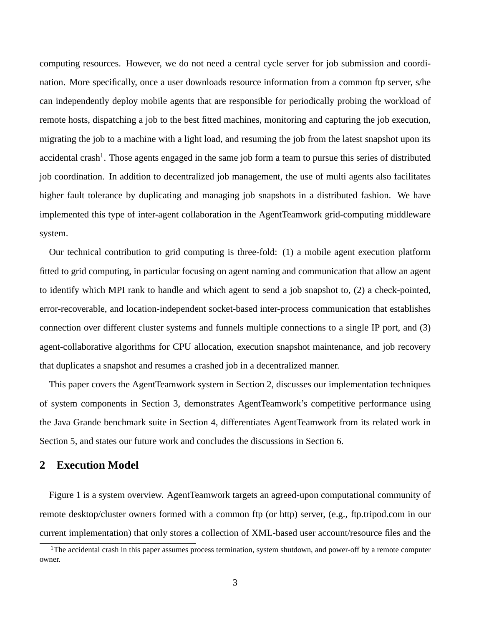computing resources. However, we do not need a central cycle server for job submission and coordination. More specifically, once a user downloads resource information from a common ftp server, s/he can independently deploy mobile agents that are responsible for periodically probing the workload of remote hosts, dispatching a job to the best fitted machines, monitoring and capturing the job execution, migrating the job to a machine with a light load, and resuming the job from the latest snapshot upon its accidental crash<sup>1</sup>. Those agents engaged in the same job form a team to pursue this series of distributed job coordination. In addition to decentralized job management, the use of multi agents also facilitates higher fault tolerance by duplicating and managing job snapshots in a distributed fashion. We have implemented this type of inter-agent collaboration in the AgentTeamwork grid-computing middleware system.

Our technical contribution to grid computing is three-fold: (1) a mobile agent execution platform fitted to grid computing, in particular focusing on agent naming and communication that allow an agent to identify which MPI rank to handle and which agent to send a job snapshot to, (2) a check-pointed, error-recoverable, and location-independent socket-based inter-process communication that establishes connection over different cluster systems and funnels multiple connections to a single IP port, and (3) agent-collaborative algorithms for CPU allocation, execution snapshot maintenance, and job recovery that duplicates a snapshot and resumes a crashed job in a decentralized manner.

This paper covers the AgentTeamwork system in Section 2, discusses our implementation techniques of system components in Section 3, demonstrates AgentTeamwork's competitive performance using the Java Grande benchmark suite in Section 4, differentiates AgentTeamwork from its related work in Section 5, and states our future work and concludes the discussions in Section 6.

# **2 Execution Model**

Figure 1 is a system overview. AgentTeamwork targets an agreed-upon computational community of remote desktop/cluster owners formed with a common ftp (or http) server, (e.g., ftp.tripod.com in our current implementation) that only stores a collection of XML-based user account/resource files and the

 $1$ The accidental crash in this paper assumes process termination, system shutdown, and power-off by a remote computer owner.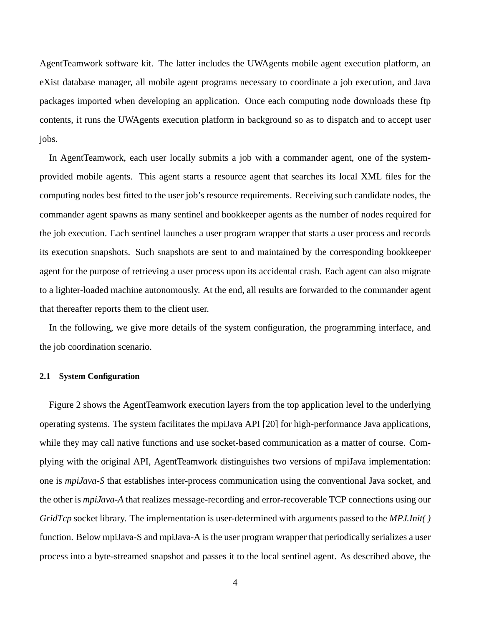AgentTeamwork software kit. The latter includes the UWAgents mobile agent execution platform, an eXist database manager, all mobile agent programs necessary to coordinate a job execution, and Java packages imported when developing an application. Once each computing node downloads these ftp contents, it runs the UWAgents execution platform in background so as to dispatch and to accept user jobs.

In AgentTeamwork, each user locally submits a job with a commander agent, one of the systemprovided mobile agents. This agent starts a resource agent that searches its local XML files for the computing nodes best fitted to the user job's resource requirements. Receiving such candidate nodes, the commander agent spawns as many sentinel and bookkeeper agents as the number of nodes required for the job execution. Each sentinel launches a user program wrapper that starts a user process and records its execution snapshots. Such snapshots are sent to and maintained by the corresponding bookkeeper agent for the purpose of retrieving a user process upon its accidental crash. Each agent can also migrate to a lighter-loaded machine autonomously. At the end, all results are forwarded to the commander agent that thereafter reports them to the client user.

In the following, we give more details of the system configuration, the programming interface, and the job coordination scenario.

#### **2.1 System Configuration**

Figure 2 shows the AgentTeamwork execution layers from the top application level to the underlying operating systems. The system facilitates the mpiJava API [20] for high-performance Java applications, while they may call native functions and use socket-based communication as a matter of course. Complying with the original API, AgentTeamwork distinguishes two versions of mpiJava implementation: one is *mpiJava-S* that establishes inter-process communication using the conventional Java socket, and the other is *mpiJava-A* that realizes message-recording and error-recoverable TCP connections using our *GridTcp* socket library. The implementation is user-determined with arguments passed to the *MPJ.Init( )* function. Below mpiJava-S and mpiJava-A is the user program wrapper that periodically serializes a user process into a byte-streamed snapshot and passes it to the local sentinel agent. As described above, the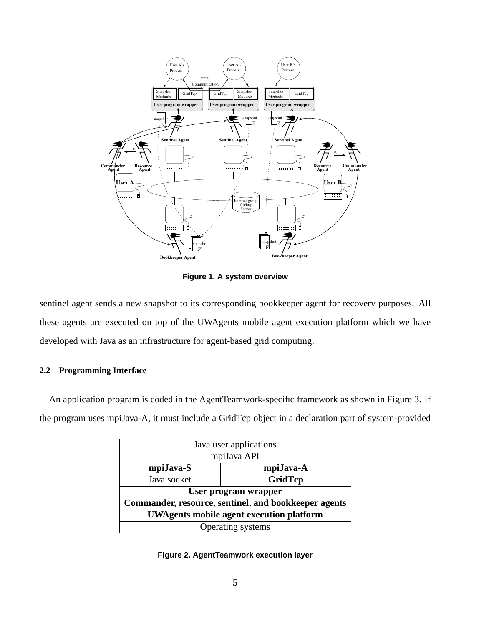

**Figure 1. A system overview**

sentinel agent sends a new snapshot to its corresponding bookkeeper agent for recovery purposes. All these agents are executed on top of the UWAgents mobile agent execution platform which we have developed with Java as an infrastructure for agent-based grid computing.

# **2.2 Programming Interface**

An application program is coded in the AgentTeamwork-specific framework as shown in Figure 3. If the program uses mpiJava-A, it must include a GridTcp object in a declaration part of system-provided

| Java user applications                               |                |  |  |
|------------------------------------------------------|----------------|--|--|
| mpiJava API                                          |                |  |  |
| mpiJava-S                                            | mpiJava-A      |  |  |
| Java socket                                          | <b>GridTcp</b> |  |  |
| User program wrapper                                 |                |  |  |
| Commander, resource, sentinel, and bookkeeper agents |                |  |  |
| <b>UWAgents mobile agent execution platform</b>      |                |  |  |
| Operating systems                                    |                |  |  |

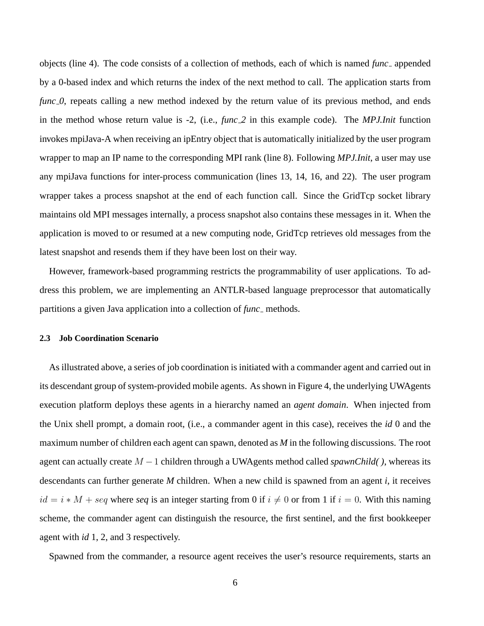objects (line 4). The code consists of a collection of methods, each of which is named *func* appended by a 0-based index and which returns the index of the next method to call. The application starts from *func* 0, repeats calling a new method indexed by the return value of its previous method, and ends in the method whose return value is -2, (i.e., *func 2* in this example code). The *MPJ.Init* function invokes mpiJava-A when receiving an ipEntry object that is automatically initialized by the user program wrapper to map an IP name to the corresponding MPI rank (line 8). Following *MPJ.Init*, a user may use any mpiJava functions for inter-process communication (lines 13, 14, 16, and 22). The user program wrapper takes a process snapshot at the end of each function call. Since the GridTcp socket library maintains old MPI messages internally, a process snapshot also contains these messages in it. When the application is moved to or resumed at a new computing node, GridTcp retrieves old messages from the latest snapshot and resends them if they have been lost on their way.

However, framework-based programming restricts the programmability of user applications. To address this problem, we are implementing an ANTLR-based language preprocessor that automatically partitions a given Java application into a collection of *func* methods.

## **2.3 Job Coordination Scenario**

As illustrated above, a series of job coordination is initiated with a commander agent and carried out in its descendant group of system-provided mobile agents. As shown in Figure 4, the underlying UWAgents execution platform deploys these agents in a hierarchy named an *agent domain*. When injected from the Unix shell prompt, a domain root, (i.e., a commander agent in this case), receives the *id* 0 and the maximum number of children each agent can spawn, denoted as *M* in the following discussions. The root agent can actually create M −1 children through a UWAgents method called *spawnChild( )*, whereas its descendants can further generate *M* children. When a new child is spawned from an agent *i*, it receives  $id = i * M + seq$  where *seq* is an integer starting from 0 if  $i \neq 0$  or from 1 if  $i = 0$ . With this naming scheme, the commander agent can distinguish the resource, the first sentinel, and the first bookkeeper agent with *id* 1, 2, and 3 respectively.

Spawned from the commander, a resource agent receives the user's resource requirements, starts an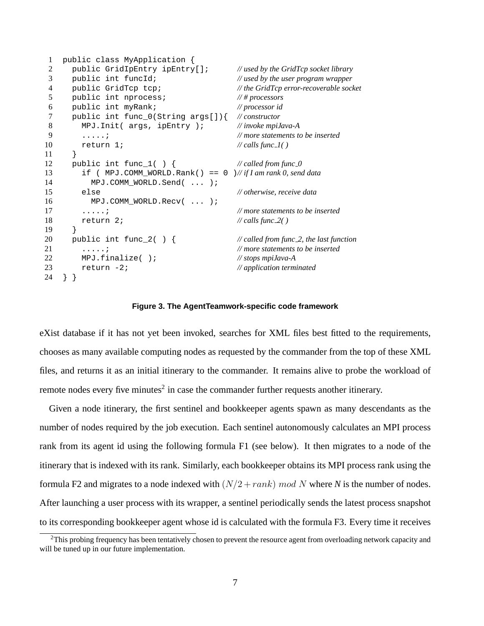```
1 public class MyApplication {
2 public GridIpEntry ipEntry[]; // used by the GridTcp socket library
3 public int funcId; // used by the user program wrapper
4 public GridTcp tcp; // the GridTcp error-recoverable socket
5 public int nprocess; // # processors
6 public int myRank; // processor id
7 public int func_0(String args[]){ // constructor
8 MPJ.Init( args, ipEntry ); // invoke mpiJava-A
9 .....; // more statements to be inserted
10 return 1; // calls func 1( )
11 }
12 public int func_1( ) { // called from func 0
13 if ( MPJ.COMM_WORLD.Rank() == 0 )// if I am rank 0, send data
14 MPJ.COMM_WORLD.Send( ... );
15 else // otherwise, receive data
16 MPJ.COMM WORLD.Recv( ... );
17 .....; // more statements to be inserted
18 return 2; // calls func 2( )
19 }
20 public int func_2( ) { // called from func 2, the last function
21 .....; // more statements to be inserted
22 MPJ.finalize( ); // stops mpiJava-A
23 return -2; // application terminated
24 } }
```
#### **Figure 3. The AgentTeamwork-specific code framework**

eXist database if it has not yet been invoked, searches for XML files best fitted to the requirements, chooses as many available computing nodes as requested by the commander from the top of these XML files, and returns it as an initial itinerary to the commander. It remains alive to probe the workload of remote nodes every five minutes<sup>2</sup> in case the commander further requests another itinerary.

Given a node itinerary, the first sentinel and bookkeeper agents spawn as many descendants as the number of nodes required by the job execution. Each sentinel autonomously calculates an MPI process rank from its agent id using the following formula F1 (see below). It then migrates to a node of the itinerary that is indexed with its rank. Similarly, each bookkeeper obtains its MPI process rank using the formula F2 and migrates to a node indexed with  $(N/2 + rank)$  mod N where N is the number of nodes. After launching a user process with its wrapper, a sentinel periodically sends the latest process snapshot to its corresponding bookkeeper agent whose id is calculated with the formula F3. Every time it receives

<sup>&</sup>lt;sup>2</sup>This probing frequency has been tentatively chosen to prevent the resource agent from overloading network capacity and will be tuned up in our future implementation.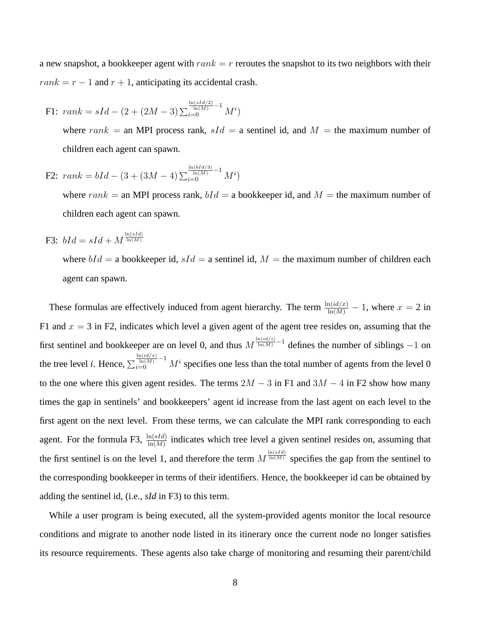a new snapshot, a bookkeeper agent with  $rank = r$  reroutes the snapshot to its two neighbors with their  $rank = r - 1$  and  $r + 1$ , anticipating its accidental crash.

F1: 
$$
rank = sId - (2 + (2M - 3) \sum_{i=0}^{\frac{\ln(sId/2)}{\ln(M)} - 1} M^i)
$$

where rank = an MPI process rank,  $sId = a$  sentinel id, and  $M =$  the maximum number of children each agent can spawn.

F2:  $rank = bId - (3 + (3M - 4) \sum_{i=0}^{\frac{\ln(bId/3)}{\ln(M)} - 1} M^i)$ 

where  $rank =$  an MPI process rank,  $bId =$  a bookkeeper id, and  $M =$  the maximum number of children each agent can spawn.

**F3:**  $bId = sId + M^{\frac{\ln(sId)}{\ln(M)}}$ 

where  $bId = a$  bookkeeper id,  $sId = a$  sentinel id,  $M =$  the maximum number of children each agent can spawn.

These formulas are effectively induced from agent hierarchy. The term  $\frac{\ln(id/x)}{\ln(M)} - 1$ , where  $x = 2$  in F1 and  $x = 3$  in F2, indicates which level a given agent of the agent tree resides on, assuming that the first sentinel and bookkeeper are on level 0, and thus  $M^{\frac{\ln(id/i)}{\ln(M)}-1}$  defines the number of siblings  $-1$  on the tree level *i*. Hence,  $\Sigma$  $\frac{\ln(id/x)}{\ln(M)}$  -1  $M^i$  specifies one less than the total number of agents from the level 0 to the one where this given agent resides. The terms  $2M - 3$  in F1 and  $3M - 4$  in F2 show how many times the gap in sentinels' and bookkeepers' agent id increase from the last agent on each level to the first agent on the next level. From these terms, we can calculate the MPI rank corresponding to each agent. For the formula F3,  $\frac{\ln(sId)}{\ln(M)}$  indicates which tree level a given sentinel resides on, assuming that the first sentinel is on the level 1, and therefore the term  $M^{\frac{\ln(sId)}{\ln(M)}}$  specifies the gap from the sentinel to the corresponding bookkeeper in terms of their identifiers. Hence, the bookkeeper id can be obtained by adding the sentinel id, (i.e., *sId* in F3) to this term.

While a user program is being executed, all the system-provided agents monitor the local resource conditions and migrate to another node listed in its itinerary once the current node no longer satisfies its resource requirements. These agents also take charge of monitoring and resuming their parent/child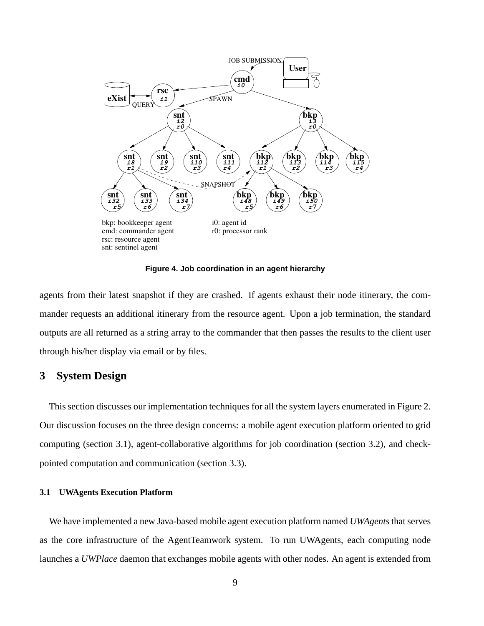

**Figure 4. Job coordination in an agent hierarchy**

agents from their latest snapshot if they are crashed. If agents exhaust their node itinerary, the commander requests an additional itinerary from the resource agent. Upon a job termination, the standard outputs are all returned as a string array to the commander that then passes the results to the client user through his/her display via email or by files.

# **3 System Design**

This section discusses our implementation techniques for all the system layers enumerated in Figure 2. Our discussion focuses on the three design concerns: a mobile agent execution platform oriented to grid computing (section 3.1), agent-collaborative algorithms for job coordination (section 3.2), and checkpointed computation and communication (section 3.3).

### **3.1 UWAgents Execution Platform**

We have implemented a new Java-based mobile agent execution platform named *UWAgents*that serves as the core infrastructure of the AgentTeamwork system. To run UWAgents, each computing node launches a *UWPlace* daemon that exchanges mobile agents with other nodes. An agent is extended from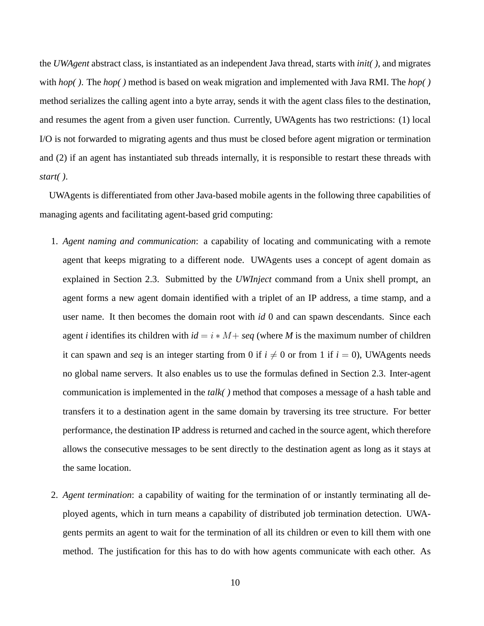the *UWAgent* abstract class, is instantiated as an independent Java thread, starts with *init( )*, and migrates with *hop( )*. The *hop( )* method is based on weak migration and implemented with Java RMI. The *hop( )* method serializes the calling agent into a byte array, sends it with the agent class files to the destination, and resumes the agent from a given user function. Currently, UWAgents has two restrictions: (1) local I/O is not forwarded to migrating agents and thus must be closed before agent migration or termination and (2) if an agent has instantiated sub threads internally, it is responsible to restart these threads with *start( )*.

UWAgents is differentiated from other Java-based mobile agents in the following three capabilities of managing agents and facilitating agent-based grid computing:

- 1. *Agent naming and communication*: a capability of locating and communicating with a remote agent that keeps migrating to a different node. UWAgents uses a concept of agent domain as explained in Section 2.3. Submitted by the *UWInject* command from a Unix shell prompt, an agent forms a new agent domain identified with a triplet of an IP address, a time stamp, and a user name. It then becomes the domain root with *id* 0 and can spawn descendants. Since each agent *i* identifies its children with  $id = i * M + seq$  (where *M* is the maximum number of children it can spawn and *seq* is an integer starting from 0 if  $i \neq 0$  or from 1 if  $i = 0$ ), UWAgents needs no global name servers. It also enables us to use the formulas defined in Section 2.3. Inter-agent communication is implemented in the *talk( )* method that composes a message of a hash table and transfers it to a destination agent in the same domain by traversing its tree structure. For better performance, the destination IP address is returned and cached in the source agent, which therefore allows the consecutive messages to be sent directly to the destination agent as long as it stays at the same location.
- 2. *Agent termination*: a capability of waiting for the termination of or instantly terminating all deployed agents, which in turn means a capability of distributed job termination detection. UWAgents permits an agent to wait for the termination of all its children or even to kill them with one method. The justification for this has to do with how agents communicate with each other. As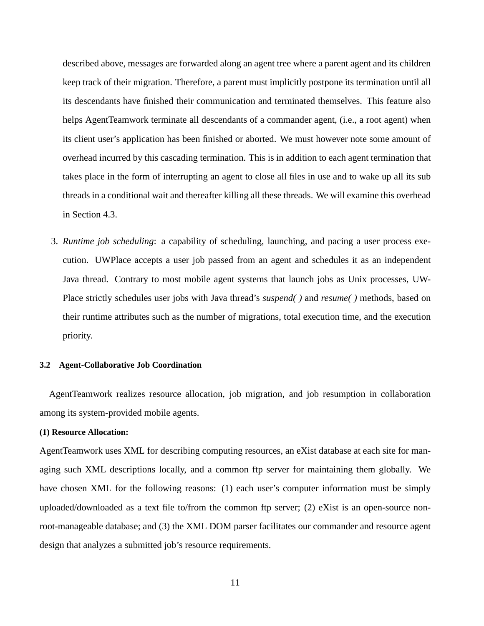described above, messages are forwarded along an agent tree where a parent agent and its children keep track of their migration. Therefore, a parent must implicitly postpone its termination until all its descendants have finished their communication and terminated themselves. This feature also helps AgentTeamwork terminate all descendants of a commander agent, (i.e., a root agent) when its client user's application has been finished or aborted. We must however note some amount of overhead incurred by this cascading termination. This is in addition to each agent termination that takes place in the form of interrupting an agent to close all files in use and to wake up all its sub threads in a conditional wait and thereafter killing all these threads. We will examine this overhead in Section 4.3.

3. *Runtime job scheduling*: a capability of scheduling, launching, and pacing a user process execution. UWPlace accepts a user job passed from an agent and schedules it as an independent Java thread. Contrary to most mobile agent systems that launch jobs as Unix processes, UW-Place strictly schedules user jobs with Java thread's *suspend( )* and *resume( )* methods, based on their runtime attributes such as the number of migrations, total execution time, and the execution priority.

### **3.2 Agent-Collaborative Job Coordination**

AgentTeamwork realizes resource allocation, job migration, and job resumption in collaboration among its system-provided mobile agents.

### **(1) Resource Allocation:**

AgentTeamwork uses XML for describing computing resources, an eXist database at each site for managing such XML descriptions locally, and a common ftp server for maintaining them globally. We have chosen XML for the following reasons: (1) each user's computer information must be simply uploaded/downloaded as a text file to/from the common ftp server; (2) eXist is an open-source nonroot-manageable database; and (3) the XML DOM parser facilitates our commander and resource agent design that analyzes a submitted job's resource requirements.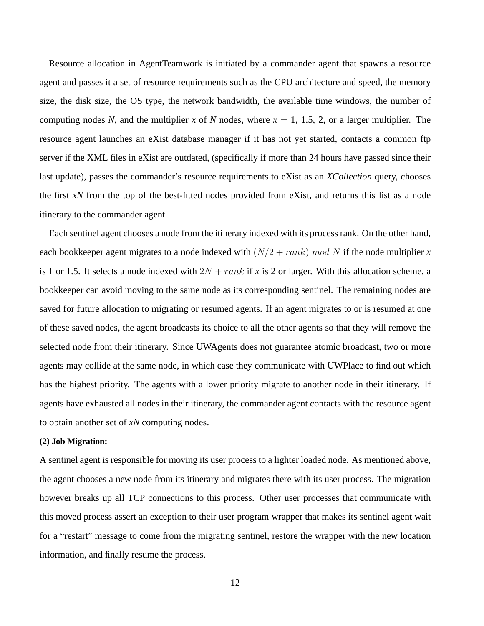Resource allocation in AgentTeamwork is initiated by a commander agent that spawns a resource agent and passes it a set of resource requirements such as the CPU architecture and speed, the memory size, the disk size, the OS type, the network bandwidth, the available time windows, the number of computing nodes *N*, and the multiplier *x* of *N* nodes, where  $x = 1, 1.5, 2$ , or a larger multiplier. The resource agent launches an eXist database manager if it has not yet started, contacts a common ftp server if the XML files in eXist are outdated, (specifically if more than 24 hours have passed since their last update), passes the commander's resource requirements to eXist as an *XCollection* query, chooses the first *xN* from the top of the best-fitted nodes provided from eXist, and returns this list as a node itinerary to the commander agent.

Each sentinel agent chooses a node from the itinerary indexed with its process rank. On the other hand, each bookkeeper agent migrates to a node indexed with  $(N/2 + rank)$  mod N if the node multiplier x is 1 or 1.5. It selects a node indexed with  $2N + rank$  if x is 2 or larger. With this allocation scheme, a bookkeeper can avoid moving to the same node as its corresponding sentinel. The remaining nodes are saved for future allocation to migrating or resumed agents. If an agent migrates to or is resumed at one of these saved nodes, the agent broadcasts its choice to all the other agents so that they will remove the selected node from their itinerary. Since UWAgents does not guarantee atomic broadcast, two or more agents may collide at the same node, in which case they communicate with UWPlace to find out which has the highest priority. The agents with a lower priority migrate to another node in their itinerary. If agents have exhausted all nodes in their itinerary, the commander agent contacts with the resource agent to obtain another set of *xN* computing nodes.

# **(2) Job Migration:**

A sentinel agent is responsible for moving its user process to a lighter loaded node. As mentioned above, the agent chooses a new node from its itinerary and migrates there with its user process. The migration however breaks up all TCP connections to this process. Other user processes that communicate with this moved process assert an exception to their user program wrapper that makes its sentinel agent wait for a "restart" message to come from the migrating sentinel, restore the wrapper with the new location information, and finally resume the process.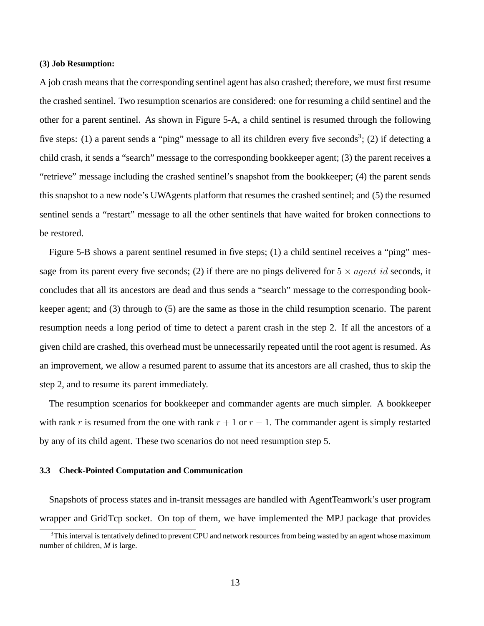#### **(3) Job Resumption:**

A job crash means that the corresponding sentinel agent has also crashed; therefore, we must first resume the crashed sentinel. Two resumption scenarios are considered: one for resuming a child sentinel and the other for a parent sentinel. As shown in Figure 5-A, a child sentinel is resumed through the following five steps: (1) a parent sends a "ping" message to all its children every five seconds<sup>3</sup>; (2) if detecting a child crash, it sends a "search" message to the corresponding bookkeeper agent; (3) the parent receives a "retrieve" message including the crashed sentinel's snapshot from the bookkeeper; (4) the parent sends this snapshot to a new node's UWAgents platform that resumes the crashed sentinel; and (5) the resumed sentinel sends a "restart" message to all the other sentinels that have waited for broken connections to be restored.

Figure 5-B shows a parent sentinel resumed in five steps; (1) a child sentinel receives a "ping" message from its parent every five seconds; (2) if there are no pings delivered for  $5 \times agent\_id$  seconds, it concludes that all its ancestors are dead and thus sends a "search" message to the corresponding bookkeeper agent; and (3) through to (5) are the same as those in the child resumption scenario. The parent resumption needs a long period of time to detect a parent crash in the step 2. If all the ancestors of a given child are crashed, this overhead must be unnecessarily repeated until the root agent is resumed. As an improvement, we allow a resumed parent to assume that its ancestors are all crashed, thus to skip the step 2, and to resume its parent immediately.

The resumption scenarios for bookkeeper and commander agents are much simpler. A bookkeeper with rank r is resumed from the one with rank  $r + 1$  or  $r - 1$ . The commander agent is simply restarted by any of its child agent. These two scenarios do not need resumption step 5.

### **3.3 Check-Pointed Computation and Communication**

Snapshots of process states and in-transit messages are handled with AgentTeamwork's user program wrapper and GridTcp socket. On top of them, we have implemented the MPJ package that provides

<sup>&</sup>lt;sup>3</sup>This interval is tentatively defined to prevent CPU and network resources from being wasted by an agent whose maximum number of children, *M* is large.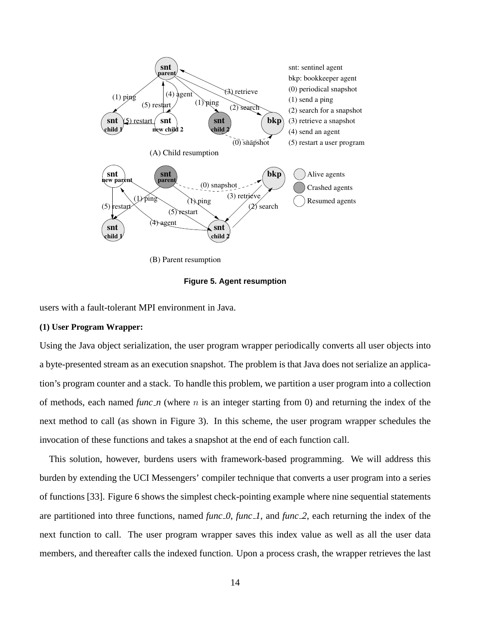

(B) Parent resumption

**Figure 5. Agent resumption**

users with a fault-tolerant MPI environment in Java.

## **(1) User Program Wrapper:**

Using the Java object serialization, the user program wrapper periodically converts all user objects into a byte-presented stream as an execution snapshot. The problem is that Java does not serialize an application's program counter and a stack. To handle this problem, we partition a user program into a collection of methods, each named *func n* (where n is an integer starting from 0) and returning the index of the next method to call (as shown in Figure 3). In this scheme, the user program wrapper schedules the invocation of these functions and takes a snapshot at the end of each function call.

This solution, however, burdens users with framework-based programming. We will address this burden by extending the UCI Messengers' compiler technique that converts a user program into a series of functions [33]. Figure 6 shows the simplest check-pointing example where nine sequential statements are partitioned into three functions, named *func 0*, *func 1*, and *func 2*, each returning the index of the next function to call. The user program wrapper saves this index value as well as all the user data members, and thereafter calls the indexed function. Upon a process crash, the wrapper retrieves the last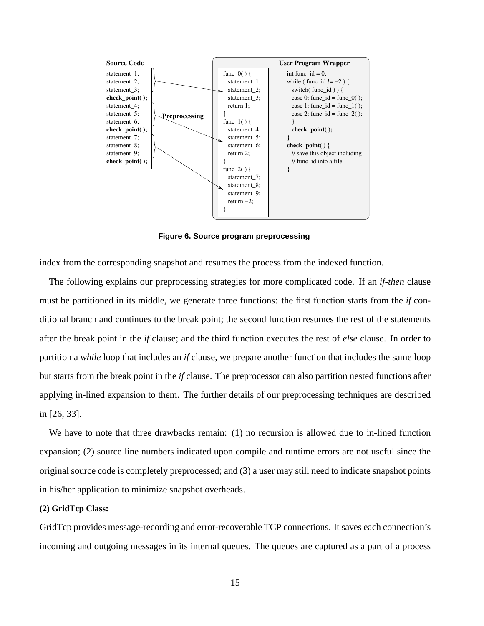

**Figure 6. Source program preprocessing**

index from the corresponding snapshot and resumes the process from the indexed function.

The following explains our preprocessing strategies for more complicated code. If an *if-then* clause must be partitioned in its middle, we generate three functions: the first function starts from the *if* conditional branch and continues to the break point; the second function resumes the rest of the statements after the break point in the *if* clause; and the third function executes the rest of *else* clause. In order to partition a *while* loop that includes an *if* clause, we prepare another function that includes the same loop but starts from the break point in the *if* clause. The preprocessor can also partition nested functions after applying in-lined expansion to them. The further details of our preprocessing techniques are described in [26, 33].

We have to note that three drawbacks remain: (1) no recursion is allowed due to in-lined function expansion; (2) source line numbers indicated upon compile and runtime errors are not useful since the original source code is completely preprocessed; and (3) a user may still need to indicate snapshot points in his/her application to minimize snapshot overheads.

#### **(2) GridTcp Class:**

GridTcp provides message-recording and error-recoverable TCP connections. It saves each connection's incoming and outgoing messages in its internal queues. The queues are captured as a part of a process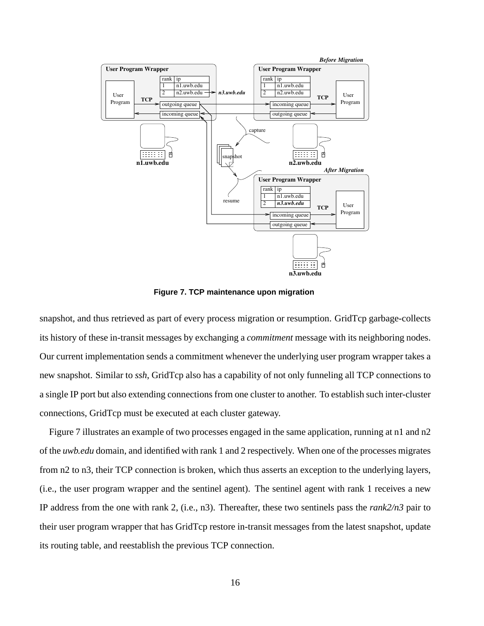

**Figure 7. TCP maintenance upon migration**

snapshot, and thus retrieved as part of every process migration or resumption. GridTcp garbage-collects its history of these in-transit messages by exchanging a *commitment* message with its neighboring nodes. Our current implementation sends a commitment whenever the underlying user program wrapper takes a new snapshot. Similar to *ssh*, GridTcp also has a capability of not only funneling all TCP connections to a single IP port but also extending connections from one cluster to another. To establish such inter-cluster connections, GridTcp must be executed at each cluster gateway.

Figure 7 illustrates an example of two processes engaged in the same application, running at n1 and n2 of the *uwb.edu* domain, and identified with rank 1 and 2 respectively. When one of the processes migrates from n2 to n3, their TCP connection is broken, which thus asserts an exception to the underlying layers, (i.e., the user program wrapper and the sentinel agent). The sentinel agent with rank 1 receives a new IP address from the one with rank 2, (i.e., n3). Thereafter, these two sentinels pass the *rank2/n3* pair to their user program wrapper that has GridTcp restore in-transit messages from the latest snapshot, update its routing table, and reestablish the previous TCP connection.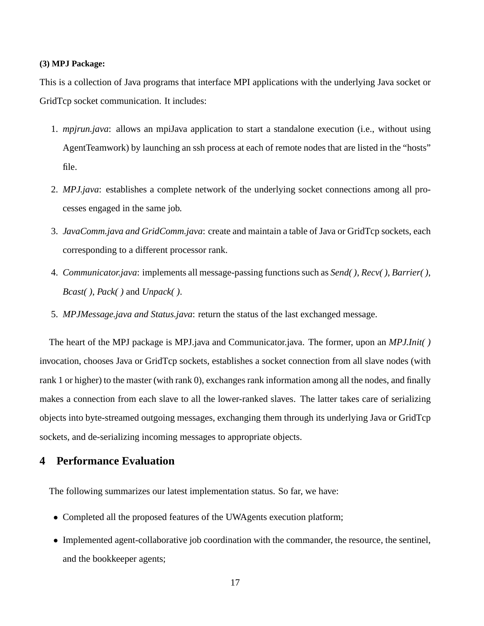### **(3) MPJ Package:**

This is a collection of Java programs that interface MPI applications with the underlying Java socket or GridTcp socket communication. It includes:

- 1. *mpjrun.java*: allows an mpiJava application to start a standalone execution (i.e., without using AgentTeamwork) by launching an ssh process at each of remote nodes that are listed in the "hosts" file.
- 2. *MPJ.java*: establishes a complete network of the underlying socket connections among all processes engaged in the same job.
- 3. *JavaComm.java and GridComm.java*: create and maintain a table of Java or GridTcp sockets, each corresponding to a different processor rank.
- 4. *Communicator.java*: implements all message-passing functions such as *Send( )*, *Recv( )*, *Barrier( )*, *Bcast( )*, *Pack( )* and *Unpack( )*.
- 5. *MPJMessage.java and Status.java*: return the status of the last exchanged message.

The heart of the MPJ package is MPJ.java and Communicator.java. The former, upon an *MPJ.Init( )* invocation, chooses Java or GridTcp sockets, establishes a socket connection from all slave nodes (with rank 1 or higher) to the master (with rank 0), exchanges rank information among all the nodes, and finally makes a connection from each slave to all the lower-ranked slaves. The latter takes care of serializing objects into byte-streamed outgoing messages, exchanging them through its underlying Java or GridTcp sockets, and de-serializing incoming messages to appropriate objects.

# **4 Performance Evaluation**

The following summarizes our latest implementation status. So far, we have:

- Completed all the proposed features of the UWAgents execution platform;
- Implemented agent-collaborative job coordination with the commander, the resource, the sentinel, and the bookkeeper agents;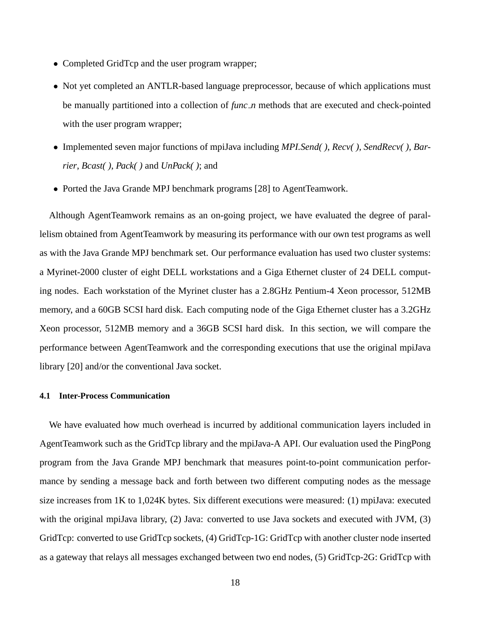- Completed GridTcp and the user program wrapper;
- Not yet completed an ANTLR-based language preprocessor, because of which applications must be manually partitioned into a collection of *func n* methods that are executed and check-pointed with the user program wrapper;
- Implemented seven major functions of mpiJava including *MPI.Send( )*, *Recv( )*, *SendRecv( )*, *Barrier*, *Bcast( )*, *Pack( )* and *UnPack( )*; and
- Ported the Java Grande MPJ benchmark programs [28] to AgentTeamwork.

Although AgentTeamwork remains as an on-going project, we have evaluated the degree of parallelism obtained from AgentTeamwork by measuring its performance with our own test programs as well as with the Java Grande MPJ benchmark set. Our performance evaluation has used two cluster systems: a Myrinet-2000 cluster of eight DELL workstations and a Giga Ethernet cluster of 24 DELL computing nodes. Each workstation of the Myrinet cluster has a 2.8GHz Pentium-4 Xeon processor, 512MB memory, and a 60GB SCSI hard disk. Each computing node of the Giga Ethernet cluster has a 3.2GHz Xeon processor, 512MB memory and a 36GB SCSI hard disk. In this section, we will compare the performance between AgentTeamwork and the corresponding executions that use the original mpiJava library [20] and/or the conventional Java socket.

## **4.1 Inter-Process Communication**

We have evaluated how much overhead is incurred by additional communication layers included in AgentTeamwork such as the GridTcp library and the mpiJava-A API. Our evaluation used the PingPong program from the Java Grande MPJ benchmark that measures point-to-point communication performance by sending a message back and forth between two different computing nodes as the message size increases from 1K to 1,024K bytes. Six different executions were measured: (1) mpiJava: executed with the original mpiJava library, (2) Java: converted to use Java sockets and executed with JVM, (3) GridTcp: converted to use GridTcp sockets, (4) GridTcp-1G: GridTcp with another cluster node inserted as a gateway that relays all messages exchanged between two end nodes, (5) GridTcp-2G: GridTcp with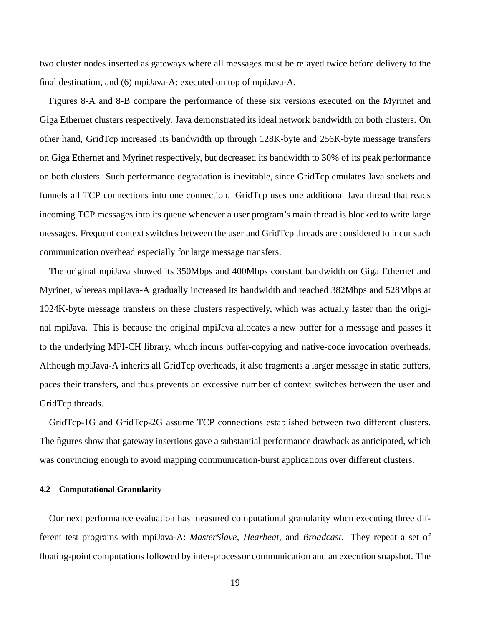two cluster nodes inserted as gateways where all messages must be relayed twice before delivery to the final destination, and (6) mpiJava-A: executed on top of mpiJava-A.

Figures 8-A and 8-B compare the performance of these six versions executed on the Myrinet and Giga Ethernet clusters respectively. Java demonstrated its ideal network bandwidth on both clusters. On other hand, GridTcp increased its bandwidth up through 128K-byte and 256K-byte message transfers on Giga Ethernet and Myrinet respectively, but decreased its bandwidth to 30% of its peak performance on both clusters. Such performance degradation is inevitable, since GridTcp emulates Java sockets and funnels all TCP connections into one connection. GridTcp uses one additional Java thread that reads incoming TCP messages into its queue whenever a user program's main thread is blocked to write large messages. Frequent context switches between the user and GridTcp threads are considered to incur such communication overhead especially for large message transfers.

The original mpiJava showed its 350Mbps and 400Mbps constant bandwidth on Giga Ethernet and Myrinet, whereas mpiJava-A gradually increased its bandwidth and reached 382Mbps and 528Mbps at 1024K-byte message transfers on these clusters respectively, which was actually faster than the original mpiJava. This is because the original mpiJava allocates a new buffer for a message and passes it to the underlying MPI-CH library, which incurs buffer-copying and native-code invocation overheads. Although mpiJava-A inherits all GridTcp overheads, it also fragments a larger message in static buffers, paces their transfers, and thus prevents an excessive number of context switches between the user and GridTcp threads.

GridTcp-1G and GridTcp-2G assume TCP connections established between two different clusters. The figures show that gateway insertions gave a substantial performance drawback as anticipated, which was convincing enough to avoid mapping communication-burst applications over different clusters.

### **4.2 Computational Granularity**

Our next performance evaluation has measured computational granularity when executing three different test programs with mpiJava-A: *MasterSlave*, *Hearbeat*, and *Broadcast*. They repeat a set of floating-point computations followed by inter-processor communication and an execution snapshot. The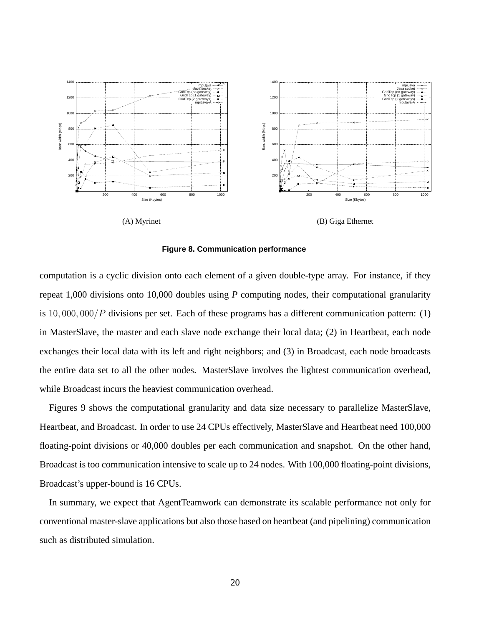

#### **Figure 8. Communication performance**

computation is a cyclic division onto each element of a given double-type array. For instance, if they repeat 1,000 divisions onto 10,000 doubles using *P* computing nodes, their computational granularity is  $10,000,000/P$  divisions per set. Each of these programs has a different communication pattern: (1) in MasterSlave, the master and each slave node exchange their local data; (2) in Heartbeat, each node exchanges their local data with its left and right neighbors; and (3) in Broadcast, each node broadcasts the entire data set to all the other nodes. MasterSlave involves the lightest communication overhead, while Broadcast incurs the heaviest communication overhead.

Figures 9 shows the computational granularity and data size necessary to parallelize MasterSlave, Heartbeat, and Broadcast. In order to use 24 CPUs effectively, MasterSlave and Heartbeat need 100,000 floating-point divisions or 40,000 doubles per each communication and snapshot. On the other hand, Broadcast is too communication intensive to scale up to 24 nodes. With 100,000 floating-point divisions, Broadcast's upper-bound is 16 CPUs.

In summary, we expect that AgentTeamwork can demonstrate its scalable performance not only for conventional master-slave applications but also those based on heartbeat (and pipelining) communication such as distributed simulation.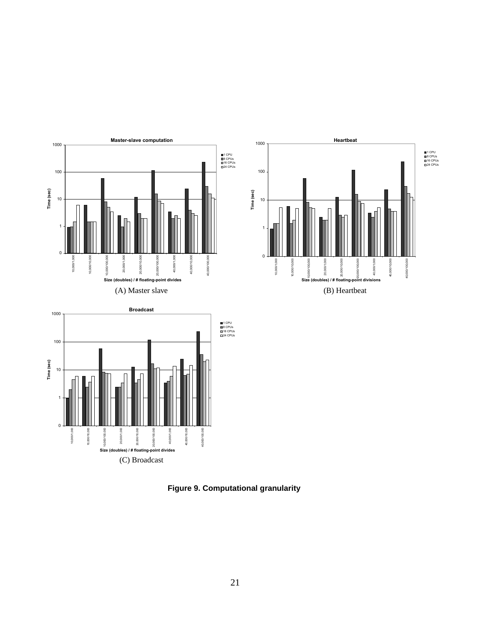

**Figure 9. Computational granularity**

 $\overline{0}$ 

10,000/1,000

10,000/1,000

10,000/10,000

10,000/10,00

10,000/100,000

20,000/1,000

20,000/10,000

20,000/100,000

 $\frac{80}{200}$   $\frac{80}{200}$   $\frac{80}{200}$   $\frac{80}{200}$   $\frac{80}{200}$   $\frac{80}{200}$   $\frac{80}{200}$   $\frac{80}{200}$   $\frac{80}{200}$   $\frac{80}{200}$   $\frac{80}{200}$   $\frac{80}{200}$   $\frac{80}{200}$   $\frac{80}{200}$   $\frac{80}{200}$   $\frac{80}{200}$   $\frac{80}{200}$ 

40,000/1,000

40,000/10,000

1 CPU 8 CPUs 16 CPUs 24 CPUs

1

10

**Time (sec)**

Time (sec)

100

1000

**Heartbeat**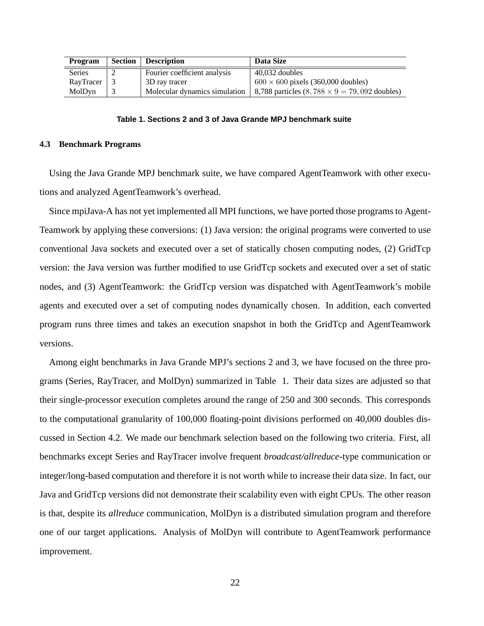| Program            | Section   Description         | Data Size                                           |
|--------------------|-------------------------------|-----------------------------------------------------|
| <b>Series</b>      | Fourier coefficient analysis  | $40.032$ doubles                                    |
| $RayTracer \mid 3$ | 3D ray tracer                 | $600 \times 600$ pixels (360,000 doubles)           |
| MolDyn             | Molecular dynamics simulation | 8,788 particles (8,788 $\times$ 9 = 79,092 doubles) |

#### **Table 1. Sections 2 and 3 of Java Grande MPJ benchmark suite**

#### **4.3 Benchmark Programs**

Using the Java Grande MPJ benchmark suite, we have compared AgentTeamwork with other executions and analyzed AgentTeamwork's overhead.

Since mpiJava-A has not yet implemented all MPI functions, we have ported those programs to Agent-Teamwork by applying these conversions: (1) Java version: the original programs were converted to use conventional Java sockets and executed over a set of statically chosen computing nodes, (2) GridTcp version: the Java version was further modified to use GridTcp sockets and executed over a set of static nodes, and (3) AgentTeamwork: the GridTcp version was dispatched with AgentTeamwork's mobile agents and executed over a set of computing nodes dynamically chosen. In addition, each converted program runs three times and takes an execution snapshot in both the GridTcp and AgentTeamwork versions.

Among eight benchmarks in Java Grande MPJ's sections 2 and 3, we have focused on the three programs (Series, RayTracer, and MolDyn) summarized in Table 1. Their data sizes are adjusted so that their single-processor execution completes around the range of 250 and 300 seconds. This corresponds to the computational granularity of 100,000 floating-point divisions performed on 40,000 doubles discussed in Section 4.2. We made our benchmark selection based on the following two criteria. First, all benchmarks except Series and RayTracer involve frequent *broadcast/allreduce*-type communication or integer/long-based computation and therefore it is not worth while to increase their data size. In fact, our Java and GridTcp versions did not demonstrate their scalability even with eight CPUs. The other reason is that, despite its *allreduce* communication, MolDyn is a distributed simulation program and therefore one of our target applications. Analysis of MolDyn will contribute to AgentTeamwork performance improvement.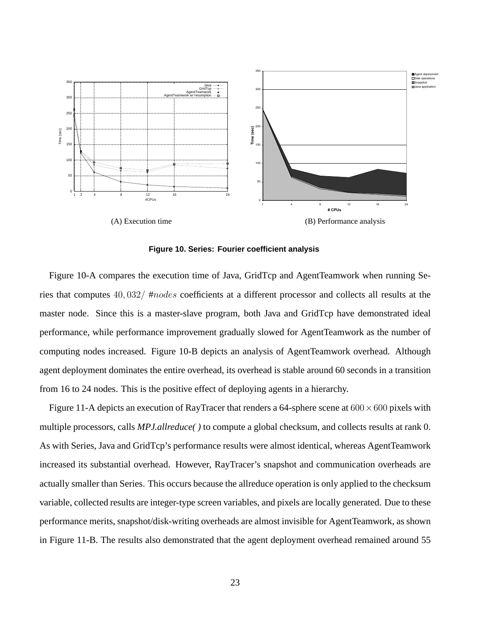

**Figure 10. Series: Fourier coefficient analysis**

Figure 10-A compares the execution time of Java, GridTcp and AgentTeamwork when running Series that computes 40, 032/ #nodes coefficients at a different processor and collects all results at the master node. Since this is a master-slave program, both Java and GridTcp have demonstrated ideal performance, while performance improvement gradually slowed for AgentTeamwork as the number of computing nodes increased. Figure 10-B depicts an analysis of AgentTeamwork overhead. Although agent deployment dominates the entire overhead, its overhead is stable around 60 seconds in a transition from 16 to 24 nodes. This is the positive effect of deploying agents in a hierarchy.

Figure 11-A depicts an execution of RayTracer that renders a 64-sphere scene at  $600 \times 600$  pixels with multiple processors, calls *MPJ.allreduce( )* to compute a global checksum, and collects results at rank 0. As with Series, Java and GridTcp's performance results were almost identical, whereas AgentTeamwork increased its substantial overhead. However, RayTracer's snapshot and communication overheads are actually smaller than Series. This occurs because the allreduce operation is only applied to the checksum variable, collected results are integer-type screen variables, and pixels are locally generated. Due to these performance merits, snapshot/disk-writing overheads are almost invisible for AgentTeamwork, as shown in Figure 11-B. The results also demonstrated that the agent deployment overhead remained around 55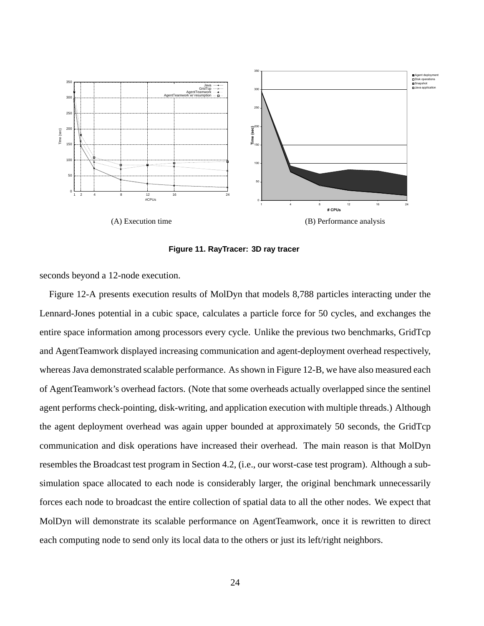

**Figure 11. RayTracer: 3D ray tracer**

seconds beyond a 12-node execution.

Figure 12-A presents execution results of MolDyn that models 8,788 particles interacting under the Lennard-Jones potential in a cubic space, calculates a particle force for 50 cycles, and exchanges the entire space information among processors every cycle. Unlike the previous two benchmarks, GridTcp and AgentTeamwork displayed increasing communication and agent-deployment overhead respectively, whereas Java demonstrated scalable performance. As shown in Figure 12-B, we have also measured each of AgentTeamwork's overhead factors. (Note that some overheads actually overlapped since the sentinel agent performs check-pointing, disk-writing, and application execution with multiple threads.) Although the agent deployment overhead was again upper bounded at approximately 50 seconds, the GridTcp communication and disk operations have increased their overhead. The main reason is that MolDyn resembles the Broadcast test program in Section 4.2, (i.e., our worst-case test program). Although a subsimulation space allocated to each node is considerably larger, the original benchmark unnecessarily forces each node to broadcast the entire collection of spatial data to all the other nodes. We expect that MolDyn will demonstrate its scalable performance on AgentTeamwork, once it is rewritten to direct each computing node to send only its local data to the others or just its left/right neighbors.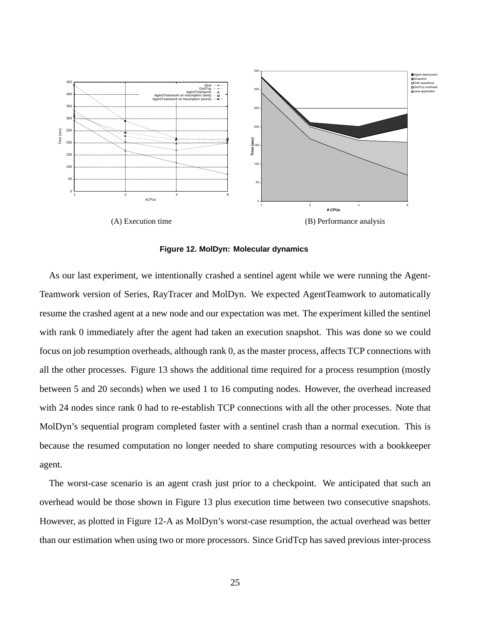

**Figure 12. MolDyn: Molecular dynamics**

As our last experiment, we intentionally crashed a sentinel agent while we were running the Agent-Teamwork version of Series, RayTracer and MolDyn. We expected AgentTeamwork to automatically resume the crashed agent at a new node and our expectation was met. The experiment killed the sentinel with rank 0 immediately after the agent had taken an execution snapshot. This was done so we could focus on job resumption overheads, although rank 0, as the master process, affects TCP connections with all the other processes. Figure 13 shows the additional time required for a process resumption (mostly between 5 and 20 seconds) when we used 1 to 16 computing nodes. However, the overhead increased with 24 nodes since rank 0 had to re-establish TCP connections with all the other processes. Note that MolDyn's sequential program completed faster with a sentinel crash than a normal execution. This is because the resumed computation no longer needed to share computing resources with a bookkeeper agent.

The worst-case scenario is an agent crash just prior to a checkpoint. We anticipated that such an overhead would be those shown in Figure 13 plus execution time between two consecutive snapshots. However, as plotted in Figure 12-A as MolDyn's worst-case resumption, the actual overhead was better than our estimation when using two or more processors. Since GridTcp has saved previous inter-process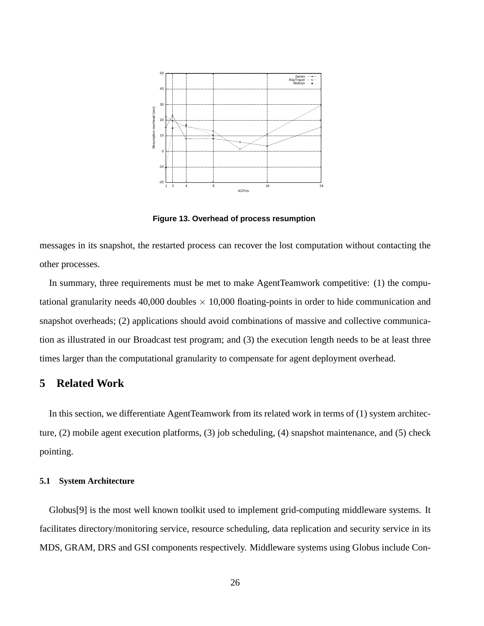

**Figure 13. Overhead of process resumption**

messages in its snapshot, the restarted process can recover the lost computation without contacting the other processes.

In summary, three requirements must be met to make AgentTeamwork competitive: (1) the computational granularity needs  $40,000$  doubles  $\times$  10,000 floating-points in order to hide communication and snapshot overheads; (2) applications should avoid combinations of massive and collective communication as illustrated in our Broadcast test program; and (3) the execution length needs to be at least three times larger than the computational granularity to compensate for agent deployment overhead.

# **5 Related Work**

In this section, we differentiate AgentTeamwork from its related work in terms of (1) system architecture, (2) mobile agent execution platforms, (3) job scheduling, (4) snapshot maintenance, and (5) check pointing.

### **5.1 System Architecture**

Globus[9] is the most well known toolkit used to implement grid-computing middleware systems. It facilitates directory/monitoring service, resource scheduling, data replication and security service in its MDS, GRAM, DRS and GSI components respectively. Middleware systems using Globus include Con-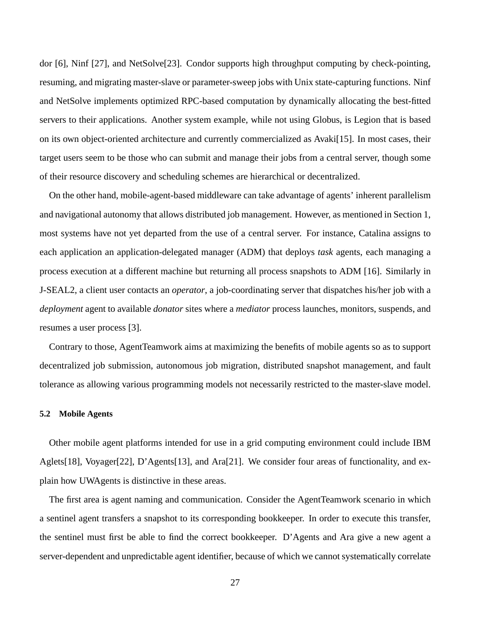dor [6], Ninf [27], and NetSolve[23]. Condor supports high throughput computing by check-pointing, resuming, and migrating master-slave or parameter-sweep jobs with Unix state-capturing functions. Ninf and NetSolve implements optimized RPC-based computation by dynamically allocating the best-fitted servers to their applications. Another system example, while not using Globus, is Legion that is based on its own object-oriented architecture and currently commercialized as Avaki[15]. In most cases, their target users seem to be those who can submit and manage their jobs from a central server, though some of their resource discovery and scheduling schemes are hierarchical or decentralized.

On the other hand, mobile-agent-based middleware can take advantage of agents' inherent parallelism and navigational autonomy that allows distributed job management. However, as mentioned in Section 1, most systems have not yet departed from the use of a central server. For instance, Catalina assigns to each application an application-delegated manager (ADM) that deploys *task* agents, each managing a process execution at a different machine but returning all process snapshots to ADM [16]. Similarly in J-SEAL2, a client user contacts an *operator*, a job-coordinating server that dispatches his/her job with a *deployment* agent to available *donator* sites where a *mediator* process launches, monitors, suspends, and resumes a user process [3].

Contrary to those, AgentTeamwork aims at maximizing the benefits of mobile agents so as to support decentralized job submission, autonomous job migration, distributed snapshot management, and fault tolerance as allowing various programming models not necessarily restricted to the master-slave model.

### **5.2 Mobile Agents**

Other mobile agent platforms intended for use in a grid computing environment could include IBM Aglets[18], Voyager[22], D'Agents[13], and Ara[21]. We consider four areas of functionality, and explain how UWAgents is distinctive in these areas.

The first area is agent naming and communication. Consider the AgentTeamwork scenario in which a sentinel agent transfers a snapshot to its corresponding bookkeeper. In order to execute this transfer, the sentinel must first be able to find the correct bookkeeper. D'Agents and Ara give a new agent a server-dependent and unpredictable agent identifier, because of which we cannot systematically correlate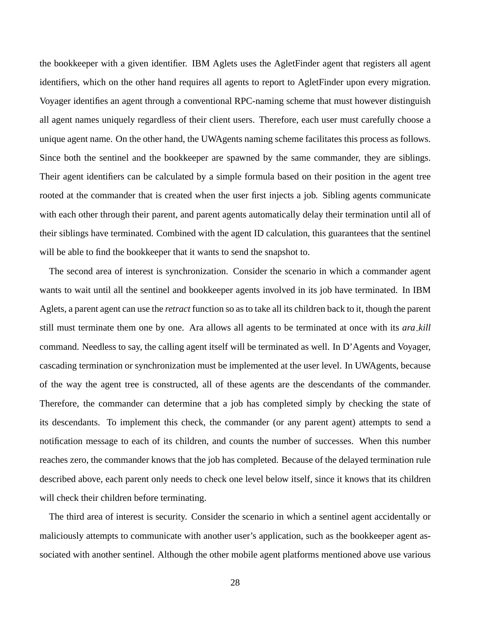the bookkeeper with a given identifier. IBM Aglets uses the AgletFinder agent that registers all agent identifiers, which on the other hand requires all agents to report to AgletFinder upon every migration. Voyager identifies an agent through a conventional RPC-naming scheme that must however distinguish all agent names uniquely regardless of their client users. Therefore, each user must carefully choose a unique agent name. On the other hand, the UWAgents naming scheme facilitates this process as follows. Since both the sentinel and the bookkeeper are spawned by the same commander, they are siblings. Their agent identifiers can be calculated by a simple formula based on their position in the agent tree rooted at the commander that is created when the user first injects a job. Sibling agents communicate with each other through their parent, and parent agents automatically delay their termination until all of their siblings have terminated. Combined with the agent ID calculation, this guarantees that the sentinel will be able to find the bookkeeper that it wants to send the snapshot to.

The second area of interest is synchronization. Consider the scenario in which a commander agent wants to wait until all the sentinel and bookkeeper agents involved in its job have terminated. In IBM Aglets, a parent agent can use the *retract* function so as to take all its children back to it, though the parent still must terminate them one by one. Ara allows all agents to be terminated at once with its *ara kill* command. Needless to say, the calling agent itself will be terminated as well. In D'Agents and Voyager, cascading termination or synchronization must be implemented at the user level. In UWAgents, because of the way the agent tree is constructed, all of these agents are the descendants of the commander. Therefore, the commander can determine that a job has completed simply by checking the state of its descendants. To implement this check, the commander (or any parent agent) attempts to send a notification message to each of its children, and counts the number of successes. When this number reaches zero, the commander knows that the job has completed. Because of the delayed termination rule described above, each parent only needs to check one level below itself, since it knows that its children will check their children before terminating.

The third area of interest is security. Consider the scenario in which a sentinel agent accidentally or maliciously attempts to communicate with another user's application, such as the bookkeeper agent associated with another sentinel. Although the other mobile agent platforms mentioned above use various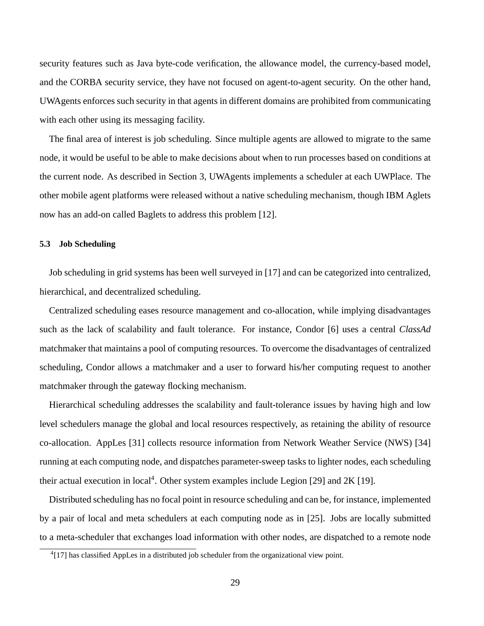security features such as Java byte-code verification, the allowance model, the currency-based model, and the CORBA security service, they have not focused on agent-to-agent security. On the other hand, UWAgents enforces such security in that agents in different domains are prohibited from communicating with each other using its messaging facility.

The final area of interest is job scheduling. Since multiple agents are allowed to migrate to the same node, it would be useful to be able to make decisions about when to run processes based on conditions at the current node. As described in Section 3, UWAgents implements a scheduler at each UWPlace. The other mobile agent platforms were released without a native scheduling mechanism, though IBM Aglets now has an add-on called Baglets to address this problem [12].

### **5.3 Job Scheduling**

Job scheduling in grid systems has been well surveyed in [17] and can be categorized into centralized, hierarchical, and decentralized scheduling.

Centralized scheduling eases resource management and co-allocation, while implying disadvantages such as the lack of scalability and fault tolerance. For instance, Condor [6] uses a central *ClassAd* matchmaker that maintains a pool of computing resources. To overcome the disadvantages of centralized scheduling, Condor allows a matchmaker and a user to forward his/her computing request to another matchmaker through the gateway flocking mechanism.

Hierarchical scheduling addresses the scalability and fault-tolerance issues by having high and low level schedulers manage the global and local resources respectively, as retaining the ability of resource co-allocation. AppLes [31] collects resource information from Network Weather Service (NWS) [34] running at each computing node, and dispatches parameter-sweep tasks to lighter nodes, each scheduling their actual execution in local<sup>4</sup>. Other system examples include Legion [29] and  $2K$  [19].

Distributed scheduling has no focal point in resource scheduling and can be, for instance, implemented by a pair of local and meta schedulers at each computing node as in [25]. Jobs are locally submitted to a meta-scheduler that exchanges load information with other nodes, are dispatched to a remote node

<sup>&</sup>lt;sup>4</sup>[17] has classified AppLes in a distributed job scheduler from the organizational view point.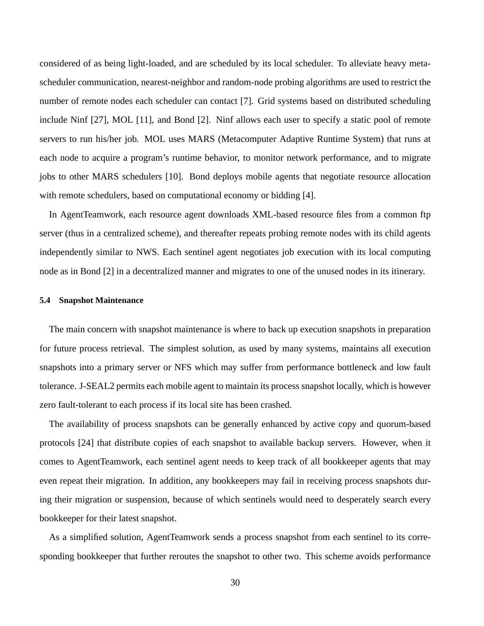considered of as being light-loaded, and are scheduled by its local scheduler. To alleviate heavy metascheduler communication, nearest-neighbor and random-node probing algorithms are used to restrict the number of remote nodes each scheduler can contact [7]. Grid systems based on distributed scheduling include Ninf [27], MOL [11], and Bond [2]. Ninf allows each user to specify a static pool of remote servers to run his/her job. MOL uses MARS (Metacomputer Adaptive Runtime System) that runs at each node to acquire a program's runtime behavior, to monitor network performance, and to migrate jobs to other MARS schedulers [10]. Bond deploys mobile agents that negotiate resource allocation with remote schedulers, based on computational economy or bidding [4].

In AgentTeamwork, each resource agent downloads XML-based resource files from a common ftp server (thus in a centralized scheme), and thereafter repeats probing remote nodes with its child agents independently similar to NWS. Each sentinel agent negotiates job execution with its local computing node as in Bond [2] in a decentralized manner and migrates to one of the unused nodes in its itinerary.

#### **5.4 Snapshot Maintenance**

The main concern with snapshot maintenance is where to back up execution snapshots in preparation for future process retrieval. The simplest solution, as used by many systems, maintains all execution snapshots into a primary server or NFS which may suffer from performance bottleneck and low fault tolerance. J-SEAL2 permits each mobile agent to maintain its process snapshot locally, which is however zero fault-tolerant to each process if its local site has been crashed.

The availability of process snapshots can be generally enhanced by active copy and quorum-based protocols [24] that distribute copies of each snapshot to available backup servers. However, when it comes to AgentTeamwork, each sentinel agent needs to keep track of all bookkeeper agents that may even repeat their migration. In addition, any bookkeepers may fail in receiving process snapshots during their migration or suspension, because of which sentinels would need to desperately search every bookkeeper for their latest snapshot.

As a simplified solution, AgentTeamwork sends a process snapshot from each sentinel to its corresponding bookkeeper that further reroutes the snapshot to other two. This scheme avoids performance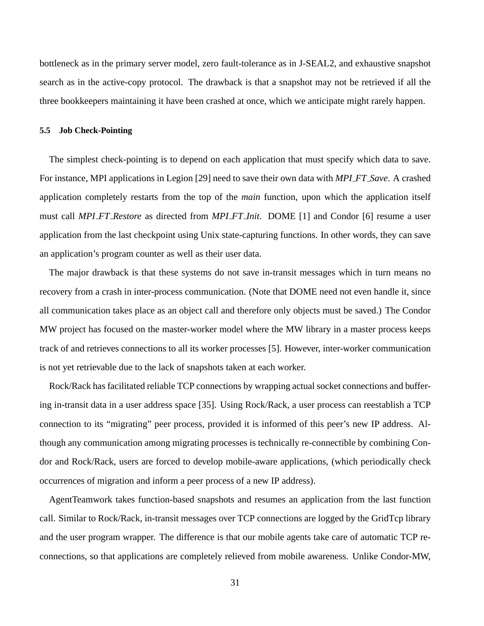bottleneck as in the primary server model, zero fault-tolerance as in J-SEAL2, and exhaustive snapshot search as in the active-copy protocol. The drawback is that a snapshot may not be retrieved if all the three bookkeepers maintaining it have been crashed at once, which we anticipate might rarely happen.

# **5.5 Job Check-Pointing**

The simplest check-pointing is to depend on each application that must specify which data to save. For instance, MPI applications in Legion [29] need to save their own data with *MPI FT Save*. A crashed application completely restarts from the top of the *main* function, upon which the application itself must call *MPI FT Restore* as directed from *MPI FT Init*. DOME [1] and Condor [6] resume a user application from the last checkpoint using Unix state-capturing functions. In other words, they can save an application's program counter as well as their user data.

The major drawback is that these systems do not save in-transit messages which in turn means no recovery from a crash in inter-process communication. (Note that DOME need not even handle it, since all communication takes place as an object call and therefore only objects must be saved.) The Condor MW project has focused on the master-worker model where the MW library in a master process keeps track of and retrieves connections to all its worker processes [5]. However, inter-worker communication is not yet retrievable due to the lack of snapshots taken at each worker.

Rock/Rack has facilitated reliable TCP connections by wrapping actual socket connections and buffering in-transit data in a user address space [35]. Using Rock/Rack, a user process can reestablish a TCP connection to its "migrating" peer process, provided it is informed of this peer's new IP address. Although any communication among migrating processes is technically re-connectible by combining Condor and Rock/Rack, users are forced to develop mobile-aware applications, (which periodically check occurrences of migration and inform a peer process of a new IP address).

AgentTeamwork takes function-based snapshots and resumes an application from the last function call. Similar to Rock/Rack, in-transit messages over TCP connections are logged by the GridTcp library and the user program wrapper. The difference is that our mobile agents take care of automatic TCP reconnections, so that applications are completely relieved from mobile awareness. Unlike Condor-MW,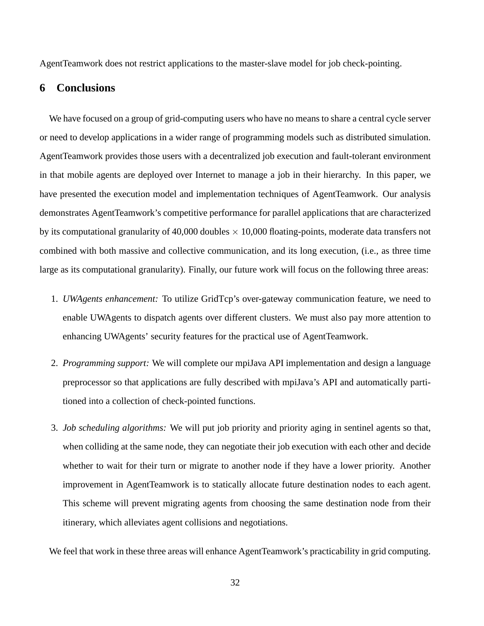AgentTeamwork does not restrict applications to the master-slave model for job check-pointing.

# **6 Conclusions**

We have focused on a group of grid-computing users who have no means to share a central cycle server or need to develop applications in a wider range of programming models such as distributed simulation. AgentTeamwork provides those users with a decentralized job execution and fault-tolerant environment in that mobile agents are deployed over Internet to manage a job in their hierarchy. In this paper, we have presented the execution model and implementation techniques of AgentTeamwork. Our analysis demonstrates AgentTeamwork's competitive performance for parallel applications that are characterized by its computational granularity of 40,000 doubles  $\times$  10,000 floating-points, moderate data transfers not combined with both massive and collective communication, and its long execution, (i.e., as three time large as its computational granularity). Finally, our future work will focus on the following three areas:

- 1. *UWAgents enhancement:* To utilize GridTcp's over-gateway communication feature, we need to enable UWAgents to dispatch agents over different clusters. We must also pay more attention to enhancing UWAgents' security features for the practical use of AgentTeamwork.
- 2. *Programming support:* We will complete our mpiJava API implementation and design a language preprocessor so that applications are fully described with mpiJava's API and automatically partitioned into a collection of check-pointed functions.
- 3. *Job scheduling algorithms:* We will put job priority and priority aging in sentinel agents so that, when colliding at the same node, they can negotiate their job execution with each other and decide whether to wait for their turn or migrate to another node if they have a lower priority. Another improvement in AgentTeamwork is to statically allocate future destination nodes to each agent. This scheme will prevent migrating agents from choosing the same destination node from their itinerary, which alleviates agent collisions and negotiations.

We feel that work in these three areas will enhance AgentTeamwork's practicability in grid computing.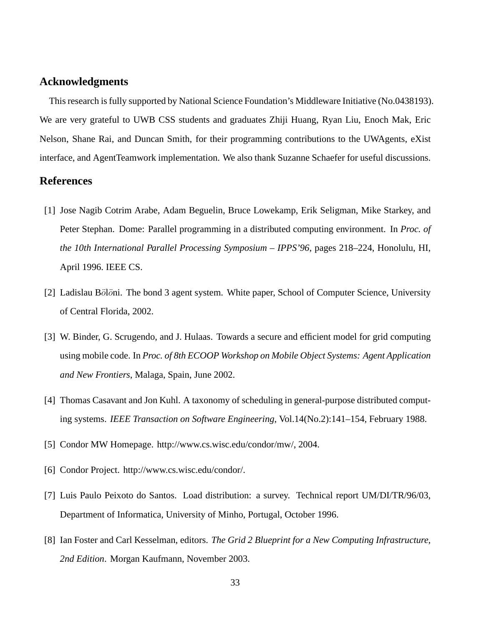# **Acknowledgments**

This research is fully supported by National Science Foundation's Middleware Initiative (No.0438193). We are very grateful to UWB CSS students and graduates Zhiji Huang, Ryan Liu, Enoch Mak, Eric Nelson, Shane Rai, and Duncan Smith, for their programming contributions to the UWAgents, eXist interface, and AgentTeamwork implementation. We also thank Suzanne Schaefer for useful discussions.

# **References**

- [1] Jose Nagib Cotrim Arabe, Adam Beguelin, Bruce Lowekamp, Erik Seligman, Mike Starkey, and Peter Stephan. Dome: Parallel programming in a distributed computing environment. In *Proc. of the 10th International Parallel Processing Symposium – IPPS'96*, pages 218–224, Honolulu, HI, April 1996. IEEE CS.
- [2] Ladislau Bölöni. The bond 3 agent system. White paper, School of Computer Science, University of Central Florida, 2002.
- [3] W. Binder, G. Scrugendo, and J. Hulaas. Towards a secure and efficient model for grid computing using mobile code. In *Proc. of 8th ECOOP Workshop on Mobile Object Systems: Agent Application and New Frontiers*, Malaga, Spain, June 2002.
- [4] Thomas Casavant and Jon Kuhl. A taxonomy of scheduling in general-purpose distributed computing systems. *IEEE Transaction on Software Engineering*, Vol.14(No.2):141–154, February 1988.
- [5] Condor MW Homepage. http://www.cs.wisc.edu/condor/mw/, 2004.
- [6] Condor Project. http://www.cs.wisc.edu/condor/.
- [7] Luis Paulo Peixoto do Santos. Load distribution: a survey. Technical report UM/DI/TR/96/03, Department of Informatica, University of Minho, Portugal, October 1996.
- [8] Ian Foster and Carl Kesselman, editors. *The Grid 2 Blueprint for a New Computing Infrastructure, 2nd Edition*. Morgan Kaufmann, November 2003.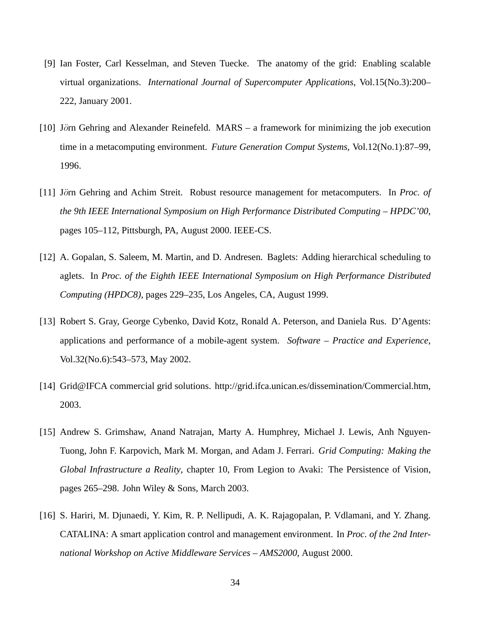- [9] Ian Foster, Carl Kesselman, and Steven Tuecke. The anatomy of the grid: Enabling scalable virtual organizations. *International Journal of Supercomputer Applications*, Vol.15(No.3):200– 222, January 2001.
- [10] Jörn Gehring and Alexander Reinefeld. MARS a framework for minimizing the job execution time in a metacomputing environment. *Future Generation Comput Systems*, Vol.12(No.1):87–99, 1996.
- [11] Jörn Gehring and Achim Streit. Robust resource management for metacomputers. In *Proc. of the 9th IEEE International Symposium on High Performance Distributed Computing – HPDC'00*, pages 105–112, Pittsburgh, PA, August 2000. IEEE-CS.
- [12] A. Gopalan, S. Saleem, M. Martin, and D. Andresen. Baglets: Adding hierarchical scheduling to aglets. In *Proc. of the Eighth IEEE International Symposium on High Performance Distributed Computing (HPDC8)*, pages 229–235, Los Angeles, CA, August 1999.
- [13] Robert S. Gray, George Cybenko, David Kotz, Ronald A. Peterson, and Daniela Rus. D'Agents: applications and performance of a mobile-agent system. *Software – Practice and Experience*, Vol.32(No.6):543–573, May 2002.
- [14] Grid@IFCA commercial grid solutions. http://grid.ifca.unican.es/dissemination/Commercial.htm, 2003.
- [15] Andrew S. Grimshaw, Anand Natrajan, Marty A. Humphrey, Michael J. Lewis, Anh Nguyen-Tuong, John F. Karpovich, Mark M. Morgan, and Adam J. Ferrari. *Grid Computing: Making the Global Infrastructure a Reality*, chapter 10, From Legion to Avaki: The Persistence of Vision, pages 265–298. John Wiley & Sons, March 2003.
- [16] S. Hariri, M. Djunaedi, Y. Kim, R. P. Nellipudi, A. K. Rajagopalan, P. Vdlamani, and Y. Zhang. CATALINA: A smart application control and management environment. In *Proc. of the 2nd International Workshop on Active Middleware Services – AMS2000*, August 2000.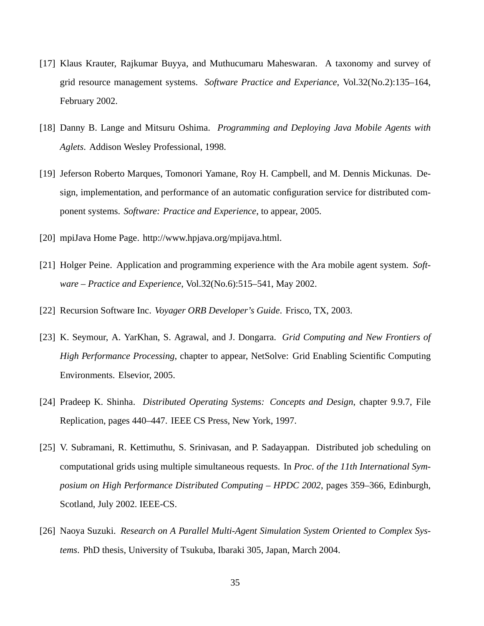- [17] Klaus Krauter, Rajkumar Buyya, and Muthucumaru Maheswaran. A taxonomy and survey of grid resource management systems. *Software Practice and Experiance*, Vol.32(No.2):135–164, February 2002.
- [18] Danny B. Lange and Mitsuru Oshima. *Programming and Deploying Java Mobile Agents with Aglets*. Addison Wesley Professional, 1998.
- [19] Jeferson Roberto Marques, Tomonori Yamane, Roy H. Campbell, and M. Dennis Mickunas. Design, implementation, and performance of an automatic configuration service for distributed component systems. *Software: Practice and Experience*, to appear, 2005.
- [20] mpiJava Home Page. http://www.hpjava.org/mpijava.html.
- [21] Holger Peine. Application and programming experience with the Ara mobile agent system. *Software – Practice and Experience*, Vol.32(No.6):515–541, May 2002.
- [22] Recursion Software Inc. *Voyager ORB Developer's Guide*. Frisco, TX, 2003.
- [23] K. Seymour, A. YarKhan, S. Agrawal, and J. Dongarra. *Grid Computing and New Frontiers of High Performance Processing*, chapter to appear, NetSolve: Grid Enabling Scientific Computing Environments. Elsevior, 2005.
- [24] Pradeep K. Shinha. *Distributed Operating Systems: Concepts and Design*, chapter 9.9.7, File Replication, pages 440–447. IEEE CS Press, New York, 1997.
- [25] V. Subramani, R. Kettimuthu, S. Srinivasan, and P. Sadayappan. Distributed job scheduling on computational grids using multiple simultaneous requests. In *Proc. of the 11th International Symposium on High Performance Distributed Computing – HPDC 2002*, pages 359–366, Edinburgh, Scotland, July 2002. IEEE-CS.
- [26] Naoya Suzuki. *Research on A Parallel Multi-Agent Simulation System Oriented to Complex Systems*. PhD thesis, University of Tsukuba, Ibaraki 305, Japan, March 2004.